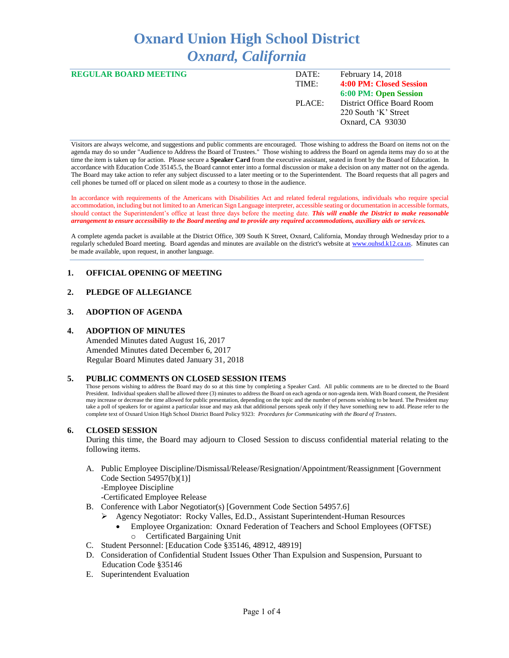# **Oxnard Union High School District** *Oxnard, California*

| <b>REGULAR BOARD MEETING</b> | DATE:  | February 14, 2018          |
|------------------------------|--------|----------------------------|
|                              | TIME:  | 4:00 PM: Closed Session    |
|                              |        | 6:00 PM: Open Session      |
|                              | PLACE: | District Office Board Room |
|                              |        | 220 South 'K' Street       |
|                              |        | Oxnard, CA 93030           |
|                              |        |                            |

Visitors are always welcome, and suggestions and public comments are encouraged. Those wishing to address the Board on items not on the agenda may do so under "Audience to Address the Board of Trustees." Those wishing to address the Board on agenda items may do so at the time the item is taken up for action. Please secure a **Speaker Card** from the executive assistant, seated in front by the Board of Education. In accordance with Education Code 35145.5, the Board cannot enter into a formal discussion or make a decision on any matter not on the agenda. The Board may take action to refer any subject discussed to a later meeting or to the Superintendent. The Board requests that all pagers and cell phones be turned off or placed on silent mode as a courtesy to those in the audience.

In accordance with requirements of the Americans with Disabilities Act and related federal regulations, individuals who require special accommodation, including but not limited to an American Sign Language interpreter, accessible seating or documentation in accessible formats, should contact the Superintendent's office at least three days before the meeting date. *This will enable the District to make reasonable arrangement to ensure accessibility to the Board meeting and to provide any required accommodations, auxiliary aids or services.* 

A complete agenda packet is available at the District Office, 309 South K Street, Oxnard, California, Monday through Wednesday prior to a regularly scheduled Board meeting. Board agendas and minutes are available on the district's website a[t www.ouhsd.k12.ca.us.](http://www.ouhsd.k12.ca.us/)Minutes can be made available, upon request, in another language.

## **1. OFFICIAL OPENING OF MEETING**

## **2. PLEDGE OF ALLEGIANCE**

#### **3. ADOPTION OF AGENDA**

#### **4. ADOPTION OF MINUTES**

Amended Minutes dated August 16, 2017 Amended Minutes dated December 6, 2017 Regular Board Minutes dated January 31, 2018

#### **5. PUBLIC COMMENTS ON CLOSED SESSION ITEMS**

Those persons wishing to address the Board may do so at this time by completing a Speaker Card. All public comments are to be directed to the Board President. Individual speakers shall be allowed three (3) minutes to address the Board on each agenda or non-agenda item. With Board consent, the President may increase or decrease the time allowed for public presentation, depending on the topic and the number of persons wishing to be heard. The President may take a poll of speakers for or against a particular issue and may ask that additional persons speak only if they have something new to add. Please refer to the complete text of Oxnard Union High School District Board Policy 9323: *Procedures for Communicating with the Board of Trustees*.

## **6. CLOSED SESSION**

During this time, the Board may adjourn to Closed Session to discuss confidential material relating to the following items.

A. Public Employee Discipline/Dismissal/Release/Resignation/Appointment/Reassignment [Government Code Section 54957(b)(1)] -Employee Discipline

-Certificated Employee Release

- B. Conference with Labor Negotiator(s) [Government Code Section 54957.6]
	- ➢ Agency Negotiator: Rocky Valles, Ed.D., Assistant Superintendent-Human Resources
		- Employee Organization: Oxnard Federation of Teachers and School Employees (OFTSE) o Certificated Bargaining Unit
- C. Student Personnel: [Education Code §35146, 48912, 48919]
- D. Consideration of Confidential Student Issues Other Than Expulsion and Suspension, Pursuant to Education Code §35146
- E. Superintendent Evaluation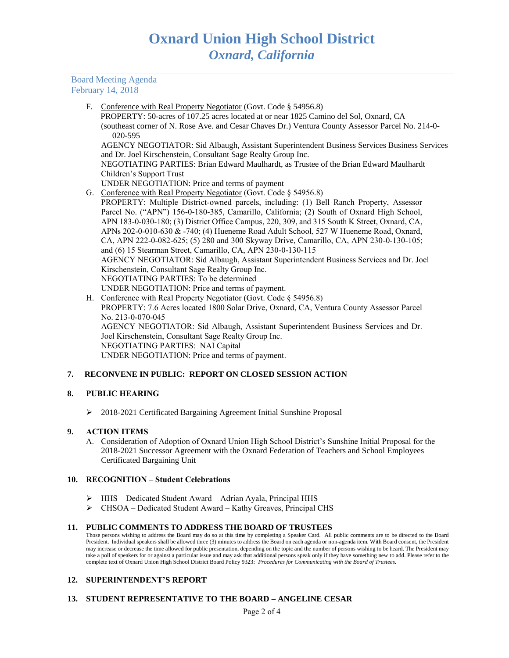Board Meeting Agenda February 14, 2018

F. Conference with Real Property Negotiator (Govt. Code § 54956.8)

 PROPERTY: 50-acres of 107.25 acres located at or near 1825 Camino del Sol, Oxnard, CA (southeast corner of N. Rose Ave. and Cesar Chaves Dr.) Ventura County Assessor Parcel No. 214-0- 020-595

AGENCY NEGOTIATOR: Sid Albaugh, Assistant Superintendent Business Services Business Services and Dr. Joel Kirschenstein, Consultant Sage Realty Group Inc.

NEGOTIATING PARTIES: Brian Edward Maulhardt, as Trustee of the Brian Edward Maulhardt Children's Support Trust

- UNDER NEGOTIATION: Price and terms of payment
- G. Conference with Real Property Negotiator (Govt. Code § 54956.8)

PROPERTY: Multiple District-owned parcels, including: (1) Bell Ranch Property, Assessor Parcel No. ("APN") 156-0-180-385, Camarillo, California; (2) South of Oxnard High School, APN 183-0-030-180; (3) District Office Campus, 220, 309, and 315 South K Street, Oxnard, CA, APNs 202-0-010-630 & -740; (4) Hueneme Road Adult School, 527 W Hueneme Road, Oxnard, CA, APN 222-0-082-625; (5) 280 and 300 Skyway Drive, Camarillo, CA, APN 230-0-130-105; and (6) 15 Stearman Street, Camarillo, CA, APN 230-0-130-115 AGENCY NEGOTIATOR: Sid Albaugh, Assistant Superintendent Business Services and Dr. Joel Kirschenstein, Consultant Sage Realty Group Inc. NEGOTIATING PARTIES: To be determined UNDER NEGOTIATION: Price and terms of payment.

H. Conference with Real Property Negotiator (Govt. Code § 54956.8) PROPERTY: 7.6 Acres located 1800 Solar Drive, Oxnard, CA, Ventura County Assessor Parcel No. 213-0-070-045 AGENCY NEGOTIATOR: Sid Albaugh, Assistant Superintendent Business Services and Dr. Joel Kirschenstein, Consultant Sage Realty Group Inc. NEGOTIATING PARTIES: NAI Capital UNDER NEGOTIATION: Price and terms of payment.

# **7. RECONVENE IN PUBLIC: REPORT ON CLOSED SESSION ACTION**

## **8. PUBLIC HEARING**

➢ 2018-2021 Certificated Bargaining Agreement Initial Sunshine Proposal

## **9. ACTION ITEMS**

A. Consideration of Adoption of Oxnard Union High School District's Sunshine Initial Proposal for the 2018-2021 Successor Agreement with the Oxnard Federation of Teachers and School Employees Certificated Bargaining Unit

## **10. RECOGNITION – Student Celebrations**

- ➢ HHS Dedicated Student Award Adrian Ayala, Principal HHS
- ➢ CHSOA Dedicated Student Award Kathy Greaves, Principal CHS

## **11. PUBLIC COMMENTS TO ADDRESS THE BOARD OF TRUSTEES**

Those persons wishing to address the Board may do so at this time by completing a Speaker Card. All public comments are to be directed to the Board President. Individual speakers shall be allowed three (3) minutes to address the Board on each agenda or non-agenda item. With Board consent, the President may increase or decrease the time allowed for public presentation, depending on the topic and the number of persons wishing to be heard. The President may take a poll of speakers for or against a particular issue and may ask that additional persons speak only if they have something new to add. Please refer to the complete text of Oxnard Union High School District Board Policy 9323: *Procedures for Communicating with the Board of Trustees.*

# **12. SUPERINTENDENT'S REPORT**

# **13. STUDENT REPRESENTATIVE TO THE BOARD – ANGELINE CESAR**

Page 2 of 4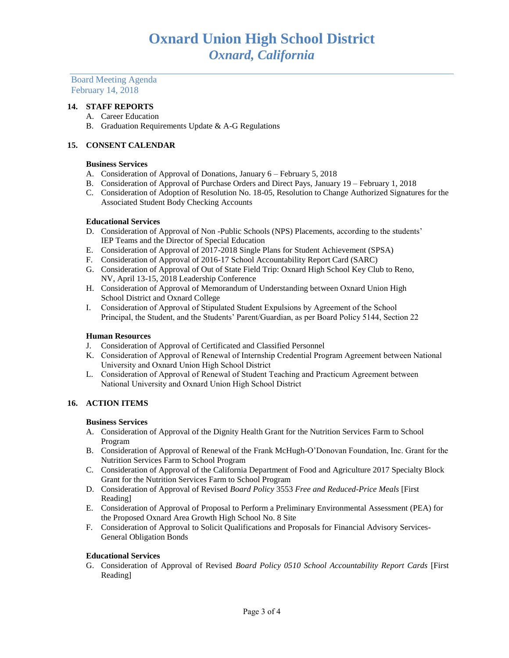Board Meeting Agenda February 14, 2018

## **14. STAFF REPORTS**

- A. Career Education
- B. Graduation Requirements Update & A-G Regulations

## **15. CONSENT CALENDAR**

## **Business Services**

- A. Consideration of Approval of Donations, January 6 February 5, 2018
- B. Consideration of Approval of Purchase Orders and Direct Pays, January 19 February 1, 2018
- C. Consideration of Adoption of Resolution No. 18-05, Resolution to Change Authorized Signatures for the Associated Student Body Checking Accounts

#### **Educational Services**

- D. Consideration of Approval of Non -Public Schools (NPS) Placements, according to the students' IEP Teams and the Director of Special Education
- E. Consideration of Approval of 2017-2018 Single Plans for Student Achievement (SPSA)
- F. Consideration of Approval of 2016-17 School Accountability Report Card (SARC)
- G. Consideration of Approval of Out of State Field Trip: Oxnard High School Key Club to Reno, NV, April 13-15, 2018 Leadership Conference
- H. Consideration of Approval of Memorandum of Understanding between Oxnard Union High School District and Oxnard College
- I. Consideration of Approval of Stipulated Student Expulsions by Agreement of the School Principal, the Student, and the Students' Parent/Guardian, as per Board Policy 5144, Section 22

## **Human Resources**

- J. Consideration of Approval of Certificated and Classified Personnel
- K. Consideration of Approval of Renewal of Internship Credential Program Agreement between National University and Oxnard Union High School District
- L. Consideration of Approval of Renewal of Student Teaching and Practicum Agreement between National University and Oxnard Union High School District

## **16. ACTION ITEMS**

#### **Business Services**

- A. Consideration of Approval of the Dignity Health Grant for the Nutrition Services Farm to School Program
- B. Consideration of Approval of Renewal of the Frank McHugh-O'Donovan Foundation, Inc. Grant for the Nutrition Services Farm to School Program
- C. Consideration of Approval of the California Department of Food and Agriculture 2017 Specialty Block Grant for the Nutrition Services Farm to School Program
- D. Consideration of Approval of Revised *Board Policy* 3553 *Free and Reduced-Price Meals* [First Reading]
- E. Consideration of Approval of Proposal to Perform a Preliminary Environmental Assessment (PEA) for the Proposed Oxnard Area Growth High School No. 8 Site
- F. Consideration of Approval to Solicit Qualifications and Proposals for Financial Advisory Services-General Obligation Bonds

## **Educational Services**

G. Consideration of Approval of Revised *Board Policy 0510 School Accountability Report Cards* [First Reading]